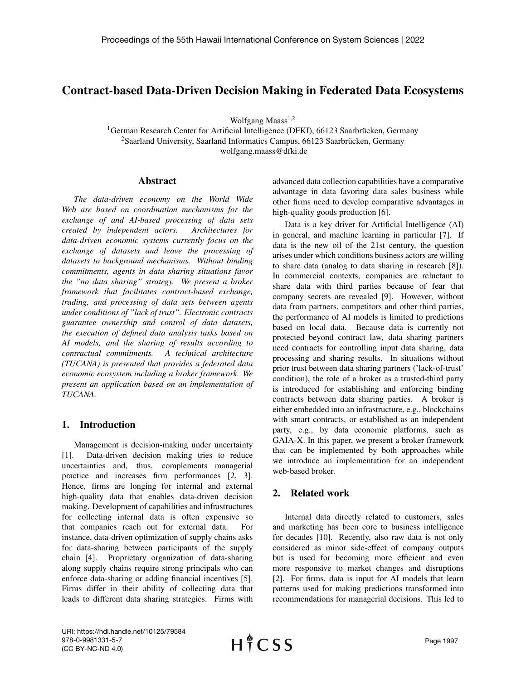# Contract-based Data-Driven Decision Making in Federated Data Ecosystems

Wolfgang Maass $1,2$ 

 $1$ German Research Center for Artificial Intelligence (DFKI), 66123 Saarbrücken, Germany  $2$ Saarland University, Saarland Informatics Campus, 66123 Saarbrücken, Germany wolfgang.maass@dfki.de

#### Abstract

*The data-driven economy on the World Wide Web are based on coordination mechanisms for the exchange of and AI-based processing of data sets created by independent actors. Architectures for data-driven economic systems currently focus on the exchange of datasets and leave the processing of datasets to background mechanisms. Without binding commitments, agents in data sharing situations favor the "no data sharing" strategy. We present a broker framework that facilitates contract-based exchange, trading, and processing of data sets between agents under conditions of "lack of trust". Electronic contracts guarantee ownership and control of data datasets, the execution of defined data analysis tasks based on AI models, and the sharing of results according to contractual commitments. A technical architecture (TUCANA) is presented that provides a federated data economic ecosystem including a broker framework. We present an application based on an implementation of TUCANA.*

# 1. Introduction

Management is decision-making under uncertainty [1]. Data-driven decision making tries to reduce uncertainties and, thus, complements managerial practice and increases firm performances [2, 3]. Hence, firms are longing for internal and external high-quality data that enables data-driven decision making. Development of capabilities and infrastructures for collecting internal data is often expensive so that companies reach out for external data. For instance, data-driven optimization of supply chains asks for data-sharing between participants of the supply chain [4]. Proprietary organization of data-sharing along supply chains require strong principals who can enforce data-sharing or adding financial incentives [5]. Firms differ in their ability of collecting data that leads to different data sharing strategies. Firms with advanced data collection capabilities have a comparative advantage in data favoring data sales business while other firms need to develop comparative advantages in high-quality goods production [6].

Data is a key driver for Artificial Intelligence (AI) in general, and machine learning in particular [7]. If data is the new oil of the 21st century, the question arises under which conditions business actors are willing to share data (analog to data sharing in research [8]). In commercial contexts, companies are reluctant to share data with third parties because of fear that company secrets are revealed [9]. However, without data from partners, competitors and other third parties, the performance of AI models is limited to predictions based on local data. Because data is currently not protected beyond contract law, data sharing partners need contracts for controlling input data sharing, data processing and sharing results. In situations without prior trust between data sharing partners ('lack-of-trust' condition), the role of a broker as a trusted-third party is introduced for establishing and enforcing binding contracts between data sharing parties. A broker is either embedded into an infrastructure, e.g., blockchains with smart contracts, or established as an independent party, e.g., by data economic platforms, such as GAIA-X. In this paper, we present a broker framework that can be implemented by both approaches while we introduce an implementation for an independent web-based broker.

# 2. Related work

Internal data directly related to customers, sales and marketing has been core to business intelligence for decades [10]. Recently, also raw data is not only considered as minor side-effect of company outputs but is used for becoming more efficient and even more responsive to market changes and disruptions [2]. For firms, data is input for AI models that learn patterns used for making predictions transformed into recommendations for managerial decisions. This led to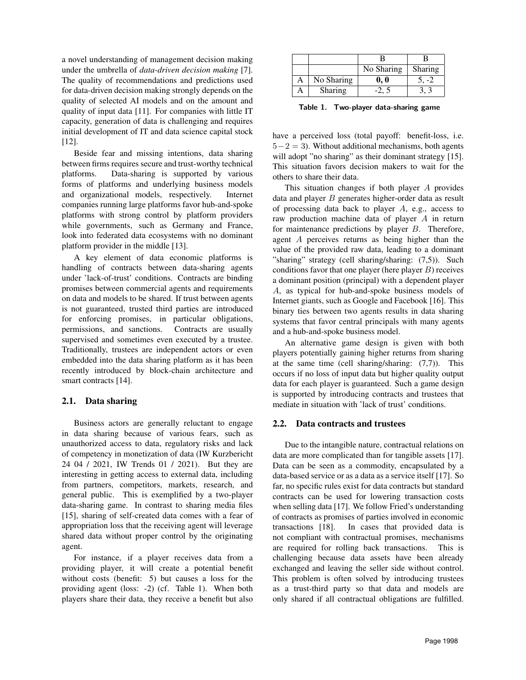a novel understanding of management decision making under the umbrella of *data-driven decision making* [7]. The quality of recommendations and predictions used for data-driven decision making strongly depends on the quality of selected AI models and on the amount and quality of input data [11]. For companies with little IT capacity, generation of data is challenging and requires initial development of IT and data science capital stock [12].

Beside fear and missing intentions, data sharing between firms requires secure and trust-worthy technical platforms. Data-sharing is supported by various forms of platforms and underlying business models and organizational models, respectively. Internet companies running large platforms favor hub-and-spoke platforms with strong control by platform providers while governments, such as Germany and France, look into federated data ecosystems with no dominant platform provider in the middle [13].

A key element of data economic platforms is handling of contracts between data-sharing agents under 'lack-of-trust' conditions. Contracts are binding promises between commercial agents and requirements on data and models to be shared. If trust between agents is not guaranteed, trusted third parties are introduced for enforcing promises, in particular obligations, permissions, and sanctions. Contracts are usually supervised and sometimes even executed by a trustee. Traditionally, trustees are independent actors or even embedded into the data sharing platform as it has been recently introduced by block-chain architecture and smart contracts [14].

#### 2.1. Data sharing

Business actors are generally reluctant to engage in data sharing because of various fears, such as unauthorized access to data, regulatory risks and lack of competency in monetization of data (IW Kurzbericht 24 04 / 2021, IW Trends 01 / 2021). But they are interesting in getting access to external data, including from partners, competitors, markets, research, and general public. This is exemplified by a two-player data-sharing game. In contrast to sharing media files [15], sharing of self-created data comes with a fear of appropriation loss that the receiving agent will leverage shared data without proper control by the originating agent.

For instance, if a player receives data from a providing player, it will create a potential benefit without costs (benefit: 5) but causes a loss for the providing agent (loss: -2) (cf. Table 1). When both players share their data, they receive a benefit but also

|            | No Sharing | Sharing |
|------------|------------|---------|
| No Sharing | 0, 0       |         |
| Sharing    |            |         |

Table 1. Two-player data-sharing game

have a perceived loss (total payoff: benefit-loss, i.e.  $5-2=3$ ). Without additional mechanisms, both agents will adopt "no sharing" as their dominant strategy [15]. This situation favors decision makers to wait for the others to share their data.

This situation changes if both player A provides data and player  $B$  generates higher-order data as result of processing data back to player  $A$ , e.g., access to raw production machine data of player A in return for maintenance predictions by player B. Therefore, agent A perceives returns as being higher than the value of the provided raw data, leading to a dominant "sharing" strategy (cell sharing/sharing: (7,5)). Such conditions favor that one player (here player  $B$ ) receives a dominant position (principal) with a dependent player A, as typical for hub-and-spoke business models of Internet giants, such as Google and Facebook [16]. This binary ties between two agents results in data sharing systems that favor central principals with many agents and a hub-and-spoke business model.

An alternative game design is given with both players potentially gaining higher returns from sharing at the same time (cell sharing/sharing:  $(7,7)$ ). This occurs if no loss of input data but higher quality output data for each player is guaranteed. Such a game design is supported by introducing contracts and trustees that mediate in situation with 'lack of trust' conditions.

#### 2.2. Data contracts and trustees

Due to the intangible nature, contractual relations on data are more complicated than for tangible assets [17]. Data can be seen as a commodity, encapsulated by a data-based service or as a data as a service itself [17]. So far, no specific rules exist for data contracts but standard contracts can be used for lowering transaction costs when selling data [17]. We follow Fried's understanding of contracts as promises of parties involved in economic transactions [18]. In cases that provided data is not compliant with contractual promises, mechanisms are required for rolling back transactions. This is challenging because data assets have been already exchanged and leaving the seller side without control. This problem is often solved by introducing trustees as a trust-third party so that data and models are only shared if all contractual obligations are fulfilled.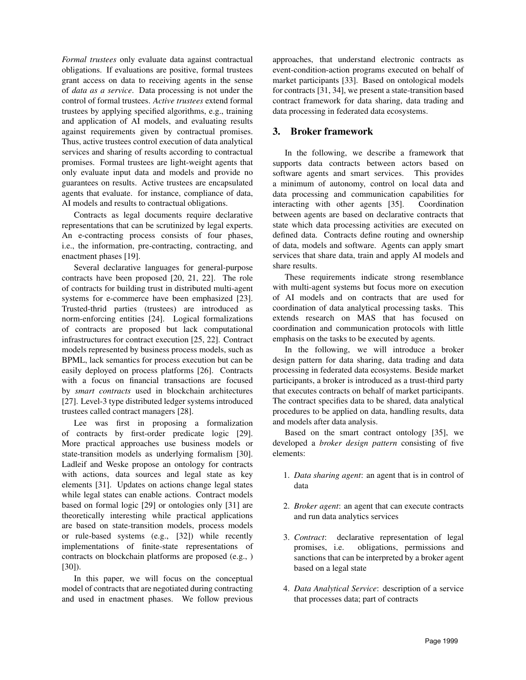*Formal trustees* only evaluate data against contractual obligations. If evaluations are positive, formal trustees grant access on data to receiving agents in the sense of *data as a service*. Data processing is not under the control of formal trustees. *Active trustees* extend formal trustees by applying specified algorithms, e.g., training and application of AI models, and evaluating results against requirements given by contractual promises. Thus, active trustees control execution of data analytical services and sharing of results according to contractual promises. Formal trustees are light-weight agents that only evaluate input data and models and provide no guarantees on results. Active trustees are encapsulated agents that evaluate. for instance, compliance of data, AI models and results to contractual obligations.

Contracts as legal documents require declarative representations that can be scrutinized by legal experts. An e-contracting process consists of four phases, i.e., the information, pre-contracting, contracting, and enactment phases [19].

Several declarative languages for general-purpose contracts have been proposed [20, 21, 22]. The role of contracts for building trust in distributed multi-agent systems for e-commerce have been emphasized [23]. Trusted-thrid parties (trustees) are introduced as norm-enforcing entities [24]. Logical formalizations of contracts are proposed but lack computational infrastructures for contract execution [25, 22]. Contract models represented by business process models, such as BPML, lack semantics for process execution but can be easily deployed on process platforms [26]. Contracts with a focus on financial transactions are focused by *smart contracts* used in blockchain architectures [27]. Level-3 type distributed ledger systems introduced trustees called contract managers [28].

Lee was first in proposing a formalization of contracts by first-order predicate logic [29]. More practical approaches use business models or state-transition models as underlying formalism [30]. Ladleif and Weske propose an ontology for contracts with actions, data sources and legal state as key elements [31]. Updates on actions change legal states while legal states can enable actions. Contract models based on formal logic [29] or ontologies only [31] are theoretically interesting while practical applications are based on state-transition models, process models or rule-based systems (e.g., [32]) while recently implementations of finite-state representations of contracts on blockchain platforms are proposed (e.g., ) [30]).

In this paper, we will focus on the conceptual model of contracts that are negotiated during contracting and used in enactment phases. We follow previous approaches, that understand electronic contracts as event-condition-action programs executed on behalf of market participants [33]. Based on ontological models for contracts [31, 34], we present a state-transition based contract framework for data sharing, data trading and data processing in federated data ecosystems.

## 3. Broker framework

In the following, we describe a framework that supports data contracts between actors based on software agents and smart services. This provides a minimum of autonomy, control on local data and data processing and communication capabilities for interacting with other agents [35]. Coordination between agents are based on declarative contracts that state which data processing activities are executed on defined data. Contracts define routing and ownership of data, models and software. Agents can apply smart services that share data, train and apply AI models and share results.

These requirements indicate strong resemblance with multi-agent systems but focus more on execution of AI models and on contracts that are used for coordination of data analytical processing tasks. This extends research on MAS that has focused on coordination and communication protocols with little emphasis on the tasks to be executed by agents.

In the following, we will introduce a broker design pattern for data sharing, data trading and data processing in federated data ecosystems. Beside market participants, a broker is introduced as a trust-third party that executes contracts on behalf of market participants. The contract specifies data to be shared, data analytical procedures to be applied on data, handling results, data and models after data analysis.

Based on the smart contract ontology [35], we developed a *broker design pattern* consisting of five elements:

- 1. *Data sharing agent*: an agent that is in control of data
- 2. *Broker agent*: an agent that can execute contracts and run data analytics services
- 3. *Contract*: declarative representation of legal promises, i.e. obligations, permissions and sanctions that can be interpreted by a broker agent based on a legal state
- 4. *Data Analytical Service*: description of a service that processes data; part of contracts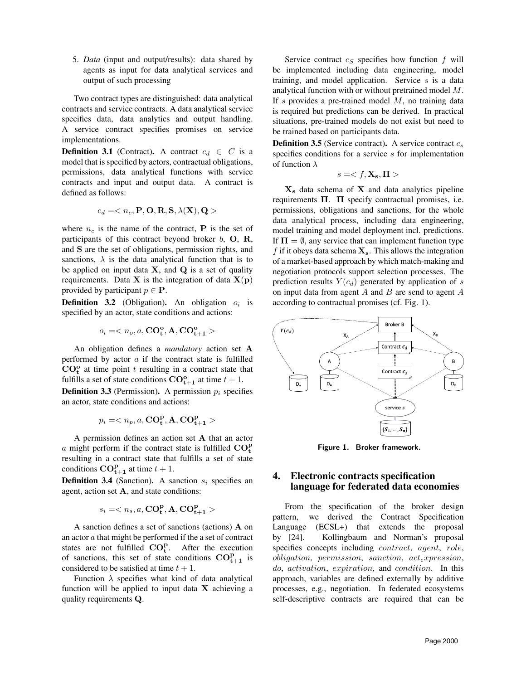5. *Data* (input and output/results): data shared by agents as input for data analytical services and output of such processing

Two contract types are distinguished: data analytical contracts and service contracts. A data analytical service specifies data, data analytics and output handling. A service contract specifies promises on service implementations.

**Definition 3.1** (Contract). A contract  $c_d \in C$  is a model that is specified by actors, contractual obligations, permissions, data analytical functions with service contracts and input and output data. A contract is defined as follows:

$$
c_d =
$$

where  $n_c$  is the name of the contract, **P** is the set of participants of this contract beyond broker  $b$ ,  $O$ ,  $R$ , and S are the set of obligations, permission rights, and sanctions,  $\lambda$  is the data analytical function that is to be applied on input data  $X$ , and  $Q$  is a set of quality requirements. Data  $X$  is the integration of data  $X(p)$ provided by participant  $p \in \mathbf{P}$ .

**Definition 3.2** (Obligation). An obligation  $o_i$  is specified by an actor, state conditions and actions:

$$
o_i=
$$

An obligation defines a *mandatory* action set A performed by actor  $a$  if the contract state is fulfilled  $CO<sub>t</sub><sup>o</sup>$  at time point t resulting in a contract state that fulfills a set of state conditions  $CO_{t+1}^{\circ}$  at time  $t + 1$ .

**Definition 3.3** (Permission). A permission  $p_i$  specifies an actor, state conditions and actions:

$$
p_i=
$$

A permission defines an action set A that an actor a might perform if the contract state is fulfilled  $CO_t^p$ resulting in a contract state that fulfills a set of state conditions  $\mathbf{CO}_{\mathbf{t}+1}^{\mathbf{p}}$  at time  $t+1$ .

**Definition 3.4** (Sanction). A sanction  $s_i$  specifies an agent, action set A, and state conditions:

$$
s_i=
$$

A sanction defines a set of sanctions (actions) A on an actor  $a$  that might be performed if the a set of contract states are not fulfilled  $CO_t^p$ . After the execution of sanctions, this set of state conditions  $CO_{t+1}^p$  is considered to be satisfied at time  $t + 1$ .

Function  $\lambda$  specifies what kind of data analytical function will be applied to input data  $X$  achieving a quality requirements Q.

Service contract  $c_S$  specifies how function  $f$  will be implemented including data engineering, model training, and model application. Service  $s$  is a data analytical function with or without pretrained model M. If s provides a pre-trained model  $M$ , no training data is required but predictions can be derived. In practical situations, pre-trained models do not exist but need to be trained based on participants data.

**Definition 3.5** (Service contract). A service contract  $c_s$ specifies conditions for a service s for implementation of function  $\lambda$ 

$$
\mathit{s} =
$$

 $X<sub>s</sub>$  data schema of X and data analytics pipeline requirements  $\Pi$ .  $\Pi$  specify contractual promises, i.e. permissions, obligations and sanctions, for the whole data analytical process, including data engineering, model training and model deployment incl. predictions. If  $\Pi = \emptyset$ , any service that can implement function type f if it obeys data schema  $\mathbf{X}_s$ . This allows the integration of a market-based approach by which match-making and negotiation protocols support selection processes. The prediction results  $Y(c_d)$  generated by application of s on input data from agent  $A$  and  $B$  are send to agent  $A$ according to contractual promises (cf. Fig. 1).



Figure 1. Broker framework.

## 4. Electronic contracts specification language for federated data economies

From the specification of the broker design pattern, we derived the Contract Specification Language (ECSL+) that extends the proposal by [24]. Kollingbaum and Norman's proposal specifies concepts including *contract*, *agent*, *role*,  $obligation$ , permission, sanction,  $act_{e}$ xpression, do, activation, expiration, and condition. In this approach, variables are defined externally by additive processes, e.g., negotiation. In federated ecosystems self-descriptive contracts are required that can be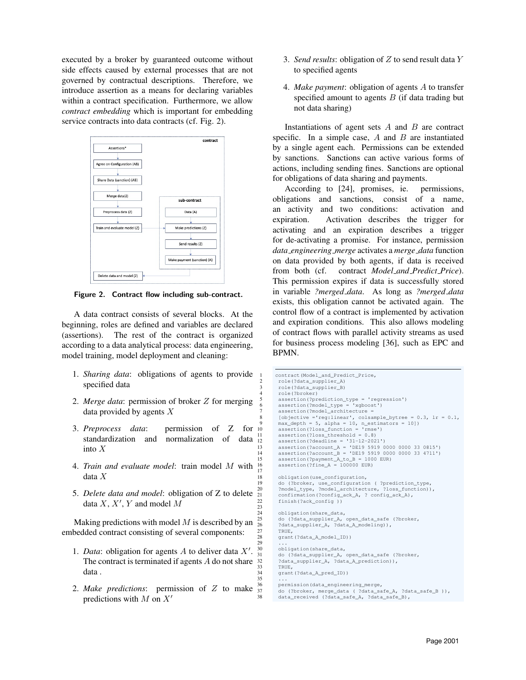executed by a broker by guaranteed outcome without side effects caused by external processes that are not governed by contractual descriptions. Therefore, we introduce assertion as a means for declaring variables within a contract specification. Furthermore, we allow *contract embedding* which is important for embedding service contracts into data contracts (cf. Fig. 2).



Figure 2. Contract flow including sub-contract.

A data contract consists of several blocks. At the beginning, roles are defined and variables are declared (assertions). The rest of the contract is organized according to a data analytical process: data engineering, model training, model deployment and cleaning:

- 1. *Sharing data*: obligations of agents to provide specified data
- 2. *Merge data*: permission of broker Z for merging data provided by agents X
- 3. *Preprocess data*: permission of Z for standardization and normalization of data into X
- 4. *Train and evaluate model*: train model M with data X 17
- 5. *Delete data and model*: obligation of Z to delete data  $X, X', Y$  and model M  $\frac{23}{24}$

Making predictions with model  $M$  is described by an embedded contract consisting of several components:

- 1. *Data*: obligation for agents  $A$  to deliver data  $X'$ . The contract is terminated if agents  $A$  do not share data . 35
- 2. *Make predictions*: permission of Z to make predictions with  $M$  on  $X'$
- 3. *Send results*: obligation of Z to send result data Y to specified agents
- 4. *Make payment*: obligation of agents A to transfer specified amount to agents  $B$  (if data trading but not data sharing)

Instantiations of agent sets  $A$  and  $B$  are contract specific. In a simple case,  $A$  and  $B$  are instantiated by a single agent each. Permissions can be extended by sanctions. Sanctions can active various forms of actions, including sending fines. Sanctions are optional for obligations of data sharing and payments.

According to [24], promises, ie. permissions, obligations and sanctions, consist of a name, an activity and two conditions: activation and expiration. Activation describes the trigger for activating and an expiration describes a trigger for de-activating a promise. For instance, permission *data engineering merge* activates a *merge data* function on data provided by both agents, if data is received from both (cf. contract *Model and Predict Price*). This permission expires if data is successfully stored in variable *?merged data*. As long as *?merged data* exists, this obligation cannot be activated again. The control flow of a contract is implemented by activation and expiration conditions. This also allows modeling of contract flows with parallel activity streams as used for business process modeling [36], such as EPC and BPMN.

```
1 contract(Model_and_Predict_Price,
          2 role(?data_supplier_A)
          3 role(?data_supplier_B)
          4 role(?broker)
          assertion(?prediction_type = 'regression')<br>assertion(?model_type = 'xgboost')
  6 assertion(?model_type = 'xgboost')
7 assertion(?model_architecture =
          [objective ='reg:linear', colsample_bytree = 0.3, lr = 0.1,
 9 max_depth = 5, alpha = 10, n_estimators = 10])
10 assertion(?loss_function = 'rmse')
          assertion(?loss_threshold = 0.8)12 assertion(?deadline = '31-12-2021')
13 assertion(?account_A = 'DE19 5919 0000 0000 33 0815')
14 assertion(?account_B = 'DE19 5919 0000 0000 33 4711')
15 assertion (?payment_A_to_B = 1000 EUR)<br>16 assertion (?fine_A = 100000 EUR)
          assertion(?fine_A = 100000 EUR)18 obligation(use_configuration,
          do (?broker, use_configuration ( ?prediction_type, ?model type, ?model architecture, ?loss function)).
20 ?model_type, ?model_architecture,<br>21 confirmation(2configurate 3, 2.000)
          confirmation(?config_ack_A, ? config_ack_A),
          finish(?ack_config ))
          obligation(share_data,
25 do (?data_supplier_A, open_data_safe (?broker,<br>26 2data supplier A, ?data A modeling)).
          ?data_supplier_A, ?data_A_modeling)),
          27 TRUE,
          grant(?data_A_model_ID))
 29 ...
          obligation(share_data,
31 do (?data_supplier_A, open_data_safe (?broker,<br>32   ?data_supplier_A, ?data_A prediction)).
          ?data_supplier_A, ?data_A_prediction)),
33 TRUE,<br>34 \alpharant
          grant(?data_A_pred_ID))
          permission(data_engineering_merge,
          37 do (?broker, merge_data ( ?data_safe_A, ?data_safe_B )),
38 data_received (?data_safe_A, ?data_safe_B),
```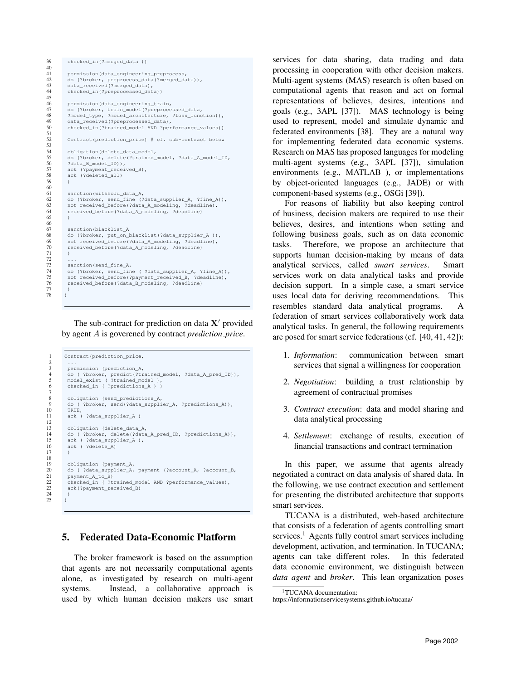```
39 checked_in(?merged_data ))
\frac{40}{41}41 permission(data_engineering_preprocess,<br>42 do (?broker, preprocess data(?merged da
42 do (?broker, preprocess_data(?merged_data)),<br>43 data_received(?merged_data),
           data_received(?merged_data),
44 checked_in(?preprocessed_data))
45
           permission(data_engineering_train,
 47 do (?broker, train_model(?preprocessed_data,<br>48 ?model_type, ?model_architecture, ?loss_function)),
49 data_received(?preprocessed_data),<br>50 checked_in(?trained_model AND ?per
           checked_in(?trained_model AND ?performance_values))
51
           Contract(prediction price) # cf. sub-contract below
\frac{53}{53}<br>54
           54 obligation(delete_data_model,
55 do (?broker, delete(?trained_model, ?data_A_model_ID, ?data_B_model_ID)),
56 ?data_B_model_ID)),<br>57 ack (?payment_recei<br>58 ack (?deleted_all)
           ack (?payment_received_B),
           ack (?deleted all)
59 )
60<br>6161 sanction(withhold_data_A,<br>62 do (?broker, send_fine (?
62 do (?broker, send_fine (?data_supplier_A, ?fine_A)),<br>63 not received_before(?data_A_modeling, ?deadline),
63 not received_before(?data_A_modeling, ?deadline),<br>64 received before(?data A modeling, ?deadline)
           received before(?data A_modeling, ?deadline)
65 )
66
67 sanction(blacklist_A<br>68 do (?broker, put_on_
68 do (?broker, put_on_blacklist(?data_supplier_A )),<br>69 not received before(?data A modeling, ?deadline).
69 not received_before(?data_A_modeling, ?deadline),<br>70 received_before(?data_A_modeling, ?deadline)
           received_before(?data_A_modeling, ?deadline)<br>)
71 )
\begin{array}{ccc} 72 & & \ldots \\ 73 & & \mathrm{san} \end{array}73 sanction(send_fine_A,<br>74 do (?broker, send_fin<br>75 not received_before(?
 74 do (?broker, send_fine ( ?data_supplier_A, ?fine_A)),
75 not received_before(?payment_received_B, ?deadline),
76 received_before(?data_B_modeling, ?deadline)
 77 )
78 )
```
The sub-contract for prediction on data  $X'$  provided by agent A is goverened by contract *prediction price*.

```
1 Contract(prediction_price,
 2 ...
 3 permission (prediction_A,<br>4 do (?broker, predict(?tr
 4 do ( ?broker, predict(?trained_model, ?data_A_pred_ID)),
5 model_exist ( ?trained_model ),
          6 checked_in ( ?predictions_A ) )
 8 obligation (send_predictions_A,<br>9 do (?broker, send(?data_suppli
9 do ( ?broker, send(?data_supplier_A, ?predictions_A)),<br>10 TRUE.
\begin{array}{ccc} 10 & & \text{TRUE} \end{array}, \begin{array}{ccc} 11 & & \text{ack} \end{array}ack ( ?data_supplier_A )
13 obligation (delete_data_A,<br>14 do (Phroker, delete(2data
14 do ( ?broker, delete(?data_A_pred_ID, ?predictions_A)),<br>15 ack ( ?data supplier A ).
15 ack ( ?data_supplier_A ),<br>16 ack ( ?delete_A)
          ack ( ?delete A)
19 obligation (payment_A,<br>20 do ( ?data supplier A,
20 do ( ?data_supplier_A, payment (?account_A, ?account_B,
21 payment_A_to_B)<br>22 checked in ( ?t
22 checked_in ( ?trained_model AND ?performance_values),<br>23 ack(?payment received B)
          ack(?payment_received_B)
        \lambda
```
 $\frac{6}{1}$ 

 $\frac{12}{13}$ 

17 )  $\frac{18}{19}$ 

 $\frac{24}{25}$ 

## 5. Federated Data-Economic Platform

The broker framework is based on the assumption that agents are not necessarily computational agents alone, as investigated by research on multi-agent systems. Instead, a collaborative approach is used by which human decision makers use smart

services for data sharing, data trading and data processing in cooperation with other decision makers. Multi-agent systems (MAS) research is often based on computational agents that reason and act on formal representations of believes, desires, intentions and goals (e.g., 3APL [37]). MAS technology is being used to represent, model and simulate dynamic and federated environments [38]. They are a natural way for implementing federated data economic systems. Research on MAS has proposed languages for modeling multi-agent systems (e.g., 3APL [37]), simulation environments (e.g., MATLAB ), or implementations by object-oriented languages (e.g., JADE) or with component-based systems (e.g., OSGi [39]).

For reasons of liability but also keeping control of business, decision makers are required to use their believes, desires, and intentions when setting and following business goals, such as on data economic tasks. Therefore, we propose an architecture that supports human decision-making by means of data analytical services, called *smart services*. Smart services work on data analytical tasks and provide decision support. In a simple case, a smart service uses local data for deriving recommendations. This resembles standard data analytical programs. A federation of smart services collaboratively work data analytical tasks. In general, the following requirements are posed for smart service federations (cf. [40, 41, 42]):

- 1. *Information*: communication between smart services that signal a willingness for cooperation
- 2. *Negotiation*: building a trust relationship by agreement of contractual promises
- 3. *Contract execution*: data and model sharing and data analytical processing
- 4. *Settlement*: exchange of results, execution of financial transactions and contract termination

In this paper, we assume that agents already negotiated a contract on data analysis of shared data. In the following, we use contract execution and settlement for presenting the distributed architecture that supports smart services.

TUCANA is a distributed, web-based architecture that consists of a federation of agents controlling smart services.<sup>1</sup> Agents fully control smart services including development, activation, and termination. In TUCANA; agents can take different roles. In this federated data economic environment, we distinguish between *data agent* and *broker*. This lean organization poses

<sup>&</sup>lt;sup>1</sup>TUCANA documentation:

https://informationservicesystems.github.io/tucana/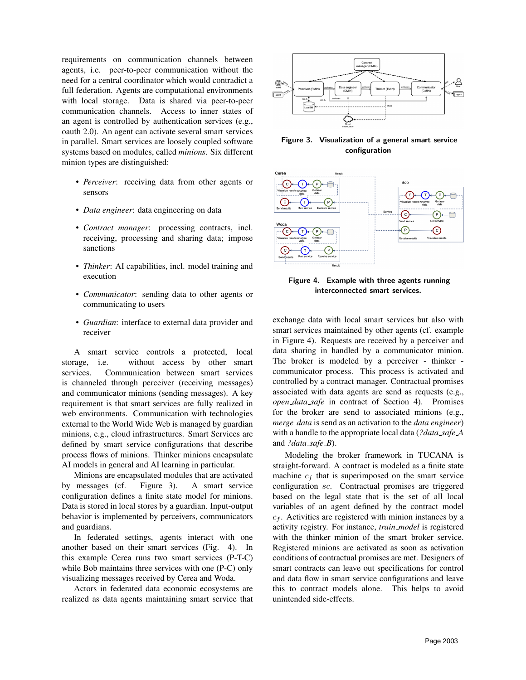requirements on communication channels between agents, i.e. peer-to-peer communication without the need for a central coordinator which would contradict a full federation. Agents are computational environments with local storage. Data is shared via peer-to-peer communication channels. Access to inner states of an agent is controlled by authentication services (e.g., oauth 2.0). An agent can activate several smart services in parallel. Smart services are loosely coupled software systems based on modules, called *minions*. Six different minion types are distinguished:

- *Perceiver*: receiving data from other agents or sensors
- *Data engineer*: data engineering on data
- *Contract manager*: processing contracts, incl. receiving, processing and sharing data; impose sanctions
- *Thinker*: AI capabilities, incl. model training and execution
- *Communicator*: sending data to other agents or communicating to users
- *Guardian*: interface to external data provider and receiver

A smart service controls a protected, local storage, i.e. without access by other smart services. Communication between smart services is channeled through perceiver (receiving messages) and communicator minions (sending messages). A key requirement is that smart services are fully realized in web environments. Communication with technologies external to the World Wide Web is managed by guardian minions, e.g., cloud infrastructures. Smart Services are defined by smart service configurations that describe process flows of minions. Thinker minions encapsulate AI models in general and AI learning in particular.

Minions are encapsulated modules that are activated by messages (cf. Figure 3). A smart service configuration defines a finite state model for minions. Data is stored in local stores by a guardian. Input-output behavior is implemented by perceivers, communicators and guardians.

In federated settings, agents interact with one another based on their smart services (Fig. 4). In this example Cerea runs two smart services (P-T-C) while Bob maintains three services with one (P-C) only visualizing messages received by Cerea and Woda.

Actors in federated data economic ecosystems are realized as data agents maintaining smart service that



Figure 3. Visualization of a general smart service configuration



Figure 4. Example with three agents running interconnected smart services.

exchange data with local smart services but also with smart services maintained by other agents (cf. example in Figure 4). Requests are received by a perceiver and data sharing in handled by a communicator minion. The broker is modeled by a perceiver - thinker communicator process. This process is activated and controlled by a contract manager. Contractual promises associated with data agents are send as requests (e.g., *open data safe* in contract of Section 4). Promises for the broker are send to associated minions (e.g., *merge data* is send as an activation to the *data engineer*) with a handle to the appropriate local data (*?data safe A* and *?data safe B*).

Modeling the broker framework in TUCANA is straight-forward. A contract is modeled as a finite state machine  $c_f$  that is superimposed on the smart service configuration sc. Contractual promises are triggered based on the legal state that is the set of all local variables of an agent defined by the contract model  $c_f$ . Activities are registered with minion instances by a activity registry. For instance, *train model* is registered with the thinker minion of the smart broker service. Registered minions are activated as soon as activation conditions of contractual promises are met. Designers of smart contracts can leave out specifications for control and data flow in smart service configurations and leave this to contract models alone. This helps to avoid unintended side-effects.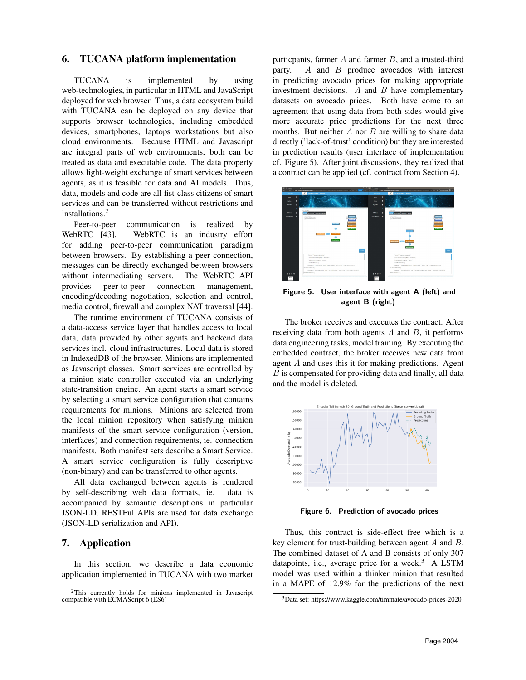### 6. TUCANA platform implementation

TUCANA is implemented by using web-technologies, in particular in HTML and JavaScript deployed for web browser. Thus, a data ecosystem build with TUCANA can be deployed on any device that supports browser technologies, including embedded devices, smartphones, laptops workstations but also cloud environments. Because HTML and Javascript are integral parts of web environments, both can be treated as data and executable code. The data property allows light-weight exchange of smart services between agents, as it is feasible for data and AI models. Thus, data, models and code are all fist-class citizens of smart services and can be transferred without restrictions and installations.<sup>2</sup>

Peer-to-peer communication is realized by WebRTC [43]. WebRTC is an industry effort for adding peer-to-peer communication paradigm between browsers. By establishing a peer connection, messages can be directly exchanged between browsers without intermediating servers. The WebRTC API provides peer-to-peer connection management, encoding/decoding negotiation, selection and control, media control, firewall and complex NAT traversal [44].

The runtime environment of TUCANA consists of a data-access service layer that handles access to local data, data provided by other agents and backend data services incl. cloud infrastructures. Local data is stored in IndexedDB of the browser. Minions are implemented as Javascript classes. Smart services are controlled by a minion state controller executed via an underlying state-transition engine. An agent starts a smart service by selecting a smart service configuration that contains requirements for minions. Minions are selected from the local minion repository when satisfying minion manifests of the smart service configuration (version, interfaces) and connection requirements, ie. connection manifests. Both manifest sets describe a Smart Service. A smart service configuration is fully descriptive (non-binary) and can be transferred to other agents.

All data exchanged between agents is rendered by self-describing web data formats, ie. data is accompanied by semantic descriptions in particular JSON-LD. RESTFul APIs are used for data exchange (JSON-LD serialization and API).

### 7. Application

In this section, we describe a data economic application implemented in TUCANA with two market

particpants, farmer  $A$  and farmer  $B$ , and a trusted-third party. A and B produce avocados with interest in predicting avocado prices for making appropriate investment decisions.  $A$  and  $B$  have complementary datasets on avocado prices. Both have come to an agreement that using data from both sides would give more accurate price predictions for the next three months. But neither  $A$  nor  $B$  are willing to share data directly ('lack-of-trust' condition) but they are interested in prediction results (user interface of implementation cf. Figure 5). After joint discussions, they realized that a contract can be applied (cf. contract from Section 4).



Figure 5. User interface with agent A (left) and agent B (right)

The broker receives and executes the contract. After receiving data from both agents  $A$  and  $B$ , it performs data engineering tasks, model training. By executing the embedded contract, the broker receives new data from agent A and uses this it for making predictions. Agent  $B$  is compensated for providing data and finally, all data and the model is deleted.



Figure 6. Prediction of avocado prices

Thus, this contract is side-effect free which is a key element for trust-building between agent A and B. The combined dataset of A and B consists of only 307 datapoints, i.e., average price for a week.<sup>3</sup> A LSTM model was used within a thinker minion that resulted in a MAPE of 12.9% for the predictions of the next

<sup>2</sup>This currently holds for minions implemented in Javascript compatible with ECMAScript 6 (ES6)

<sup>3</sup>Data set: https://www.kaggle.com/timmate/avocado-prices-2020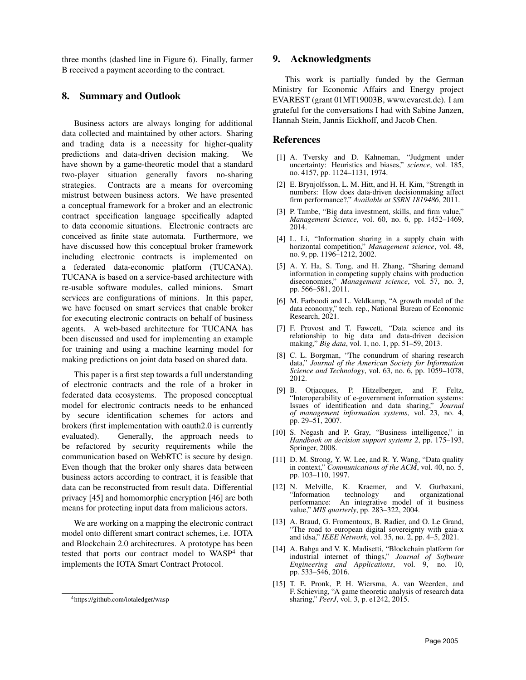three months (dashed line in Figure 6). Finally, farmer B received a payment according to the contract.

### 8. Summary and Outlook

Business actors are always longing for additional data collected and maintained by other actors. Sharing and trading data is a necessity for higher-quality predictions and data-driven decision making. We have shown by a game-theoretic model that a standard two-player situation generally favors no-sharing strategies. Contracts are a means for overcoming mistrust between business actors. We have presented a conceptual framework for a broker and an electronic contract specification language specifically adapted to data economic situations. Electronic contracts are conceived as finite state automata. Furthermore, we have discussed how this conceptual broker framework including electronic contracts is implemented on a federated data-economic platform (TUCANA). TUCANA is based on a service-based architecture with re-usable software modules, called minions. Smart services are configurations of minions. In this paper, we have focused on smart services that enable broker for executing electronic contracts on behalf of business agents. A web-based architecture for TUCANA has been discussed and used for implementing an example for training and using a machine learning model for making predictions on joint data based on shared data.

This paper is a first step towards a full understanding of electronic contracts and the role of a broker in federated data ecosystems. The proposed conceptual model for electronic contracts needs to be enhanced by secure identification schemes for actors and brokers (first implementation with oauth2.0 is currently evaluated). Generally, the approach needs to be refactored by security requirements while the communication based on WebRTC is secure by design. Even though that the broker only shares data between business actors according to contract, it is feasible that data can be reconstructed from result data. Differential privacy [45] and homomorphic encryption [46] are both means for protecting input data from malicious actors.

We are working on a mapping the electronic contract model onto different smart contract schemes, i.e. IOTA and Blockchain 2.0 architectures. A prototype has been tested that ports our contract model to  $WASP^4$  that implements the IOTA Smart Contract Protocol.

### 9. Acknowledgments

This work is partially funded by the German Ministry for Economic Affairs and Energy project EVAREST (grant 01MT19003B, www.evarest.de). I am grateful for the conversations I had with Sabine Janzen, Hannah Stein, Jannis Eickhoff, and Jacob Chen.

#### References

- [1] A. Tversky and D. Kahneman, "Judgment under uncertainty: Heuristics and biases," *science*, vol. 185, no. 4157, pp. 1124–1131, 1974.
- [2] E. Brynjolfsson, L. M. Hitt, and H. H. Kim, "Strength in numbers: How does data-driven decisionmaking affect firm performance?," *Available at SSRN 1819486*, 2011.
- [3] P. Tambe, "Big data investment, skills, and firm value," *Management Science*, vol. 60, no. 6, pp. 1452–1469, 2014.
- [4] L. Li, "Information sharing in a supply chain with horizontal competition," *Management science*, vol. 48, no. 9, pp. 1196–1212, 2002.
- [5] A. Y. Ha, S. Tong, and H. Zhang, "Sharing demand information in competing supply chains with production diseconomies," *Management science*, vol. 57, no. 3, pp. 566–581, 2011.
- [6] M. Farboodi and L. Veldkamp, "A growth model of the data economy," tech. rep., National Bureau of Economic Research, 2021.
- [7] F. Provost and T. Fawcett, "Data science and its relationship to big data and data-driven decision making," *Big data*, vol. 1, no. 1, pp. 51–59, 2013.
- [8] C. L. Borgman, "The conundrum of sharing research data," *Journal of the American Society for Information Science and Technology*, vol. 63, no. 6, pp. 1059–1078, 2012.
- [9] B. Otjacques, P. Hitzelberger, and F. Feltz, "Interoperability of e-government information systems: Issues of identification and data sharing," *Journal of management information systems*, vol. 23, no. 4, pp. 29–51, 2007.
- [10] S. Negash and P. Gray, "Business intelligence," in *Handbook on decision support systems 2*, pp. 175–193, Springer, 2008.
- [11] D. M. Strong, Y. W. Lee, and R. Y. Wang, "Data quality" in context," *Communications of the ACM*, vol. 40, no. 5, pp. 103–110, 1997.
- [12] N. Melville, K. Kraemer, and V. Gurbaxani, "Information technology and organizational An integrative model of it business value," *MIS quarterly*, pp. 283–322, 2004.
- [13] A. Braud, G. Fromentoux, B. Radier, and O. Le Grand. "The road to european digital sovereignty with gaia-x and idsa," *IEEE Network*, vol. 35, no. 2, pp. 4–5, 2021.
- [14] A. Bahga and V. K. Madisetti, "Blockchain platform for industrial internet of things," *Journal of Software Engineering and Applications*, vol. 9, no. 10, pp. 533–546, 2016.
- [15] T. E. Pronk, P. H. Wiersma, A. van Weerden, and F. Schieving, "A game theoretic analysis of research data sharing," *PeerJ*, vol. 3, p. e1242, 2015.

<sup>4</sup>https://github.com/iotaledger/wasp